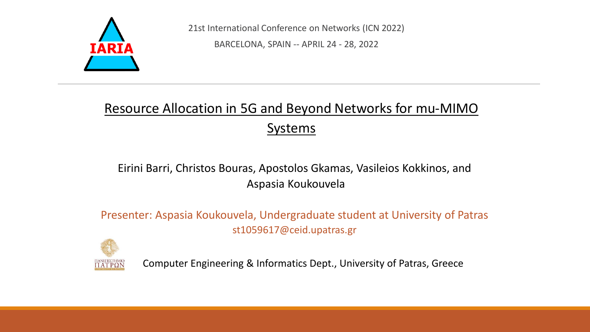

21st International Conference on Networks (ICN 2022)

BARCELONA, SPAIN -- APRIL 24 - 28, 2022

#### Resource Allocation in 5G and Beyond Networks for mu-MIMO **Systems**

#### Eirini Barri, Christos Bouras, Apostolos Gkamas, Vasileios Kokkinos, and Aspasia Koukouvela

Presenter: Aspasia Koukouvela, Undergraduate student at University of Patras st1059617@ceid.upatras.gr



Computer Engineering & Informatics Dept., University of Patras, Greece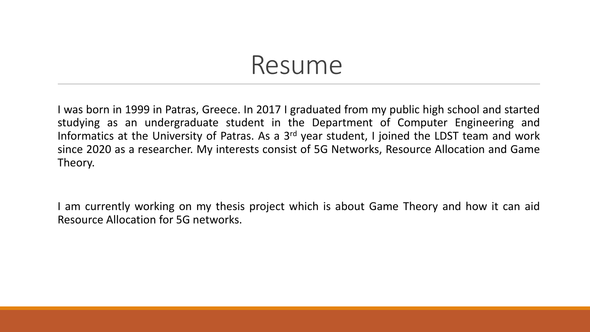#### Resume

I was born in 1999 in Patras, Greece. In 2017 I graduated from my public high school and started studying as an undergraduate student in the Department of Computer Engineering and Informatics at the University of Patras. As a 3<sup>rd</sup> year student, I joined the LDST team and work since 2020 as a researcher. My interests consist of 5G Networks, Resource Allocation and Game Theory.

I am currently working on my thesis project which is about Game Theory and how it can aid Resource Allocation for 5G networks.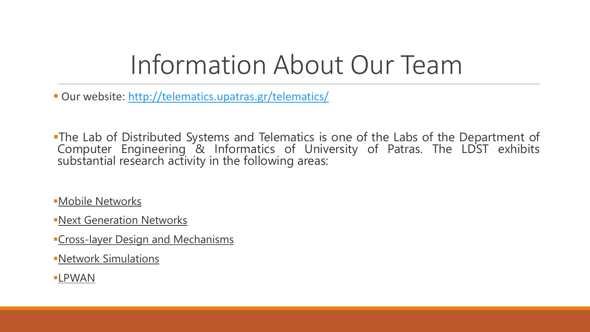#### Information About Our Team

■ Our website: <http://telematics.upatras.gr/telematics/>

. The Lab of Distributed Systems and Telematics is one of the Labs of the Department of Computer Engineering & Informatics of University of Patras. The LDST exhibits substantial research activity in the following areas:

**•Mobile [Networks](http://telematics.upatras.gr/telematics/research-areas/mobile-networks)** 

**-Next [Generation](http://telematics.upatras.gr/telematics/research-areas/next-generation-networks) Networks** 

**Cross-layer Design and [Mechanisms](http://telematics.upatras.gr/telematics/research-areas/cross-layer-design-and-mechanisms)** 

▪Network [Simulations](http://telematics.upatras.gr/telematics/research-areas/network-simulations)

▪[LPWAN](http://telematics.upatras.gr/telematics/research-areas/lpwan-low-power-wide-area-network)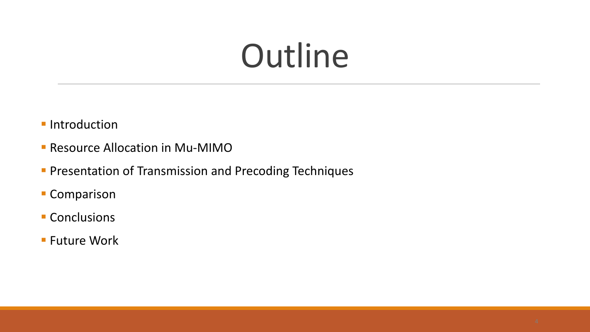## **Outline**

- **·** Introduction
- **E** Resource Allocation in Mu-MIMO
- **Presentation of Transmission and Precoding Techniques**
- **Comparison**
- **E** Conclusions
- Future Work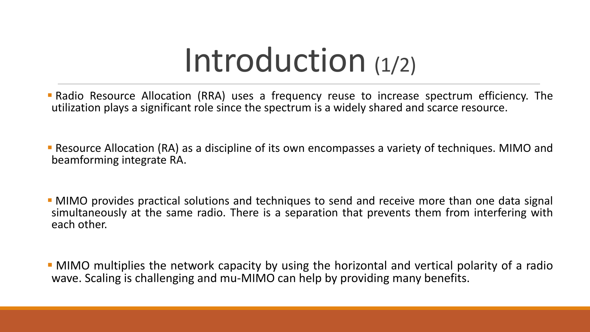## Introduction (1/2)

- **Radio Resource Allocation (RRA) uses a frequency reuse to increase spectrum efficiency. The** utilization plays a significant role since the spectrum is a widely shared and scarce resource.
- Resource Allocation (RA) as a discipline of its own encompasses a variety of techniques. MIMO and beamforming integrate RA.
- **MIMO** provides practical solutions and techniques to send and receive more than one data signal simultaneously at the same radio. There is a separation that prevents them from interfering with each other.
- **MIMO** multiplies the network capacity by using the horizontal and vertical polarity of a radio wave. Scaling is challenging and mu-MIMO can help by providing many benefits.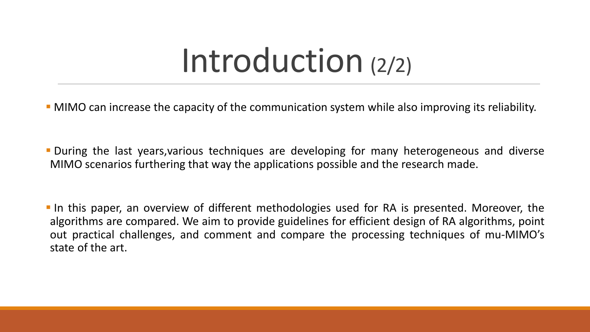#### Introduction (2/2)

- MIMO can increase the capacity of the communication system while also improving its reliability.
- **During the last years, various techniques are developing for many heterogeneous and diverse** MIMO scenarios furthering that way the applications possible and the research made.
- **IF In this paper, an overview of different methodologies used for RA is presented. Moreover, the** algorithms are compared. We aim to provide guidelines for efficient design of RA algorithms, point out practical challenges, and comment and compare the processing techniques of mu-MIMO's state of the art.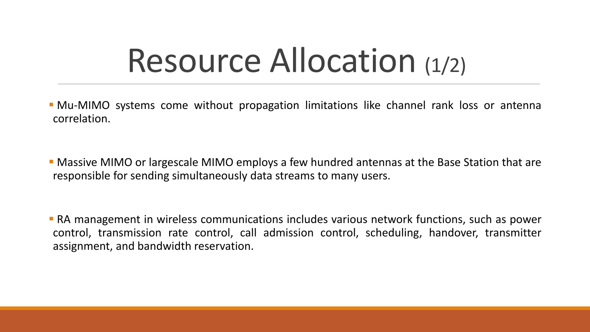## Resource Allocation (1/2)

**• Mu-MIMO** systems come without propagation limitations like channel rank loss or antenna correlation.

**• Massive MIMO or largescale MIMO employs a few hundred antennas at the Base Station that are** responsible for sending simultaneously data streams to many users.

**• RA management in wireless communications includes various network functions, such as power** control, transmission rate control, call admission control, scheduling, handover, transmitter assignment, and bandwidth reservation.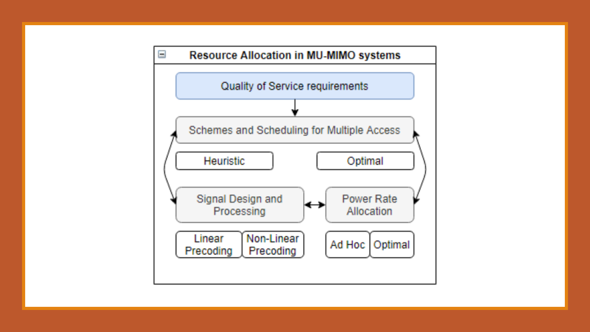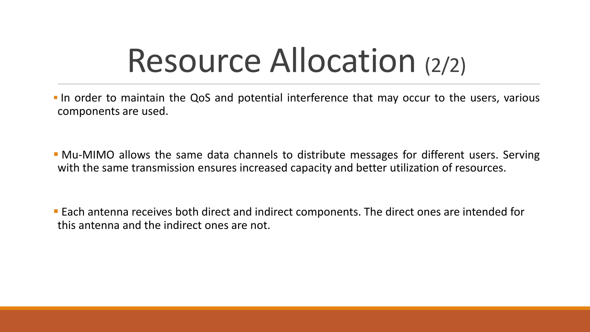## Resource Allocation (2/2)

- **.** In order to maintain the QoS and potential interference that may occur to the users, various components are used.
- Mu-MIMO allows the same data channels to distribute messages for different users. Serving with the same transmission ensures increased capacity and better utilization of resources.

**Each antenna receives both direct and indirect components. The direct ones are intended for** this antenna and the indirect ones are not.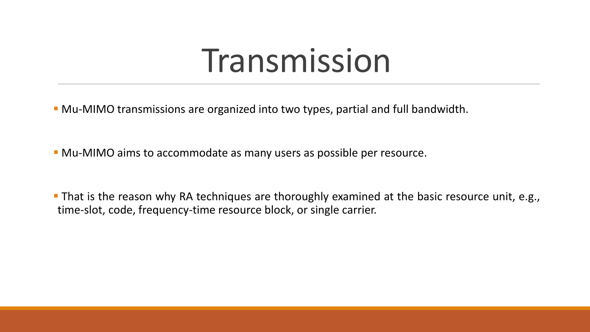#### Transmission

- Mu-MIMO transmissions are organized into two types, partial and full bandwidth.
- **Mu-MIMO aims to accommodate as many users as possible per resource.**
- **That is the reason why RA techniques are thoroughly examined at the basic resource unit, e.g.,** time-slot, code, frequency-time resource block, or single carrier.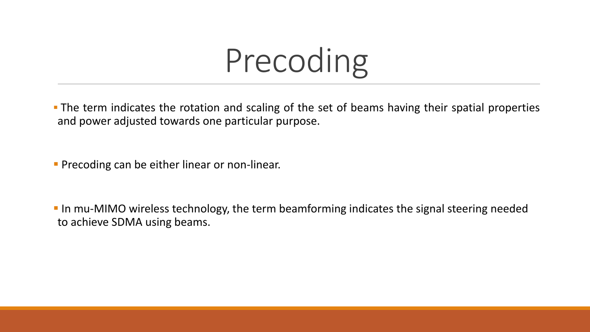## Precoding

**The term indicates the rotation and scaling of the set of beams having their spatial properties** and power adjusted towards one particular purpose.

**• Precoding can be either linear or non-linear.** 

**If an absorpt** In mu-MIMO wireless technology, the term beamforming indicates the signal steering needed to achieve SDMA using beams.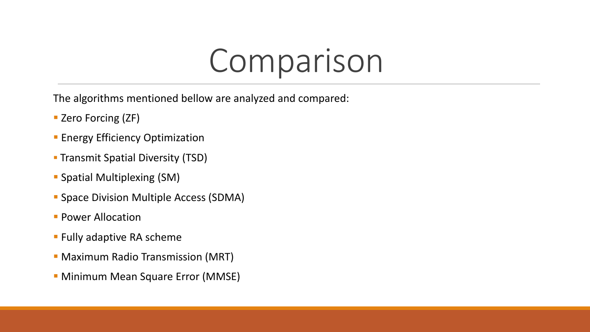#### Comparison

The algorithms mentioned bellow are analyzed and compared:

- Zero Forcing (ZF)
- **Energy Efficiency Optimization**
- **Transmit Spatial Diversity (TSD)**
- **Spatial Multiplexing (SM)**
- **Space Division Multiple Access (SDMA)**
- **Power Allocation**
- **EXA** Fully adaptive RA scheme
- **Maximum Radio Transmission (MRT)**
- **Minimum Mean Square Error (MMSE)**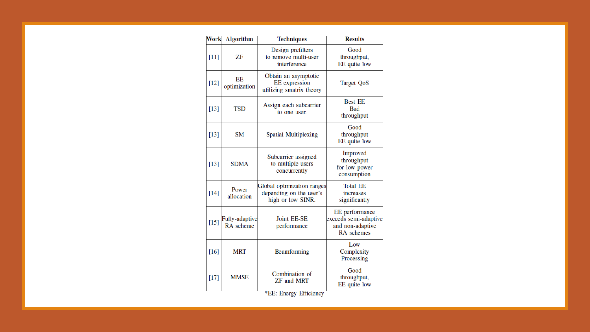| Work   | <b>Algorithm</b>            | <b>Techniques</b>                                                          | <b>Results</b>                                                            |
|--------|-----------------------------|----------------------------------------------------------------------------|---------------------------------------------------------------------------|
| $[11]$ | ZF                          | Design prefilters<br>to remove multi-user<br>interference                  | Good<br>throughput,<br>EE quite low                                       |
| $[12]$ | ЕE<br>optimization          | Obtain an asymptotic<br><b>EE</b> expression<br>utilizing smatrix theory   | <b>Target QoS</b>                                                         |
| $[13]$ | <b>TSD</b>                  | Assign each subcarrier<br>to one user.                                     | <b>Best EE</b><br><b>Bad</b><br>throughput                                |
| $[13]$ | <b>SM</b>                   | <b>Spatial Multiplexing</b>                                                | Good<br>throughput<br>EE quite low                                        |
| $[13]$ | <b>SDMA</b>                 | Subcarrier assigned<br>to multiple users<br>concurrently                   | Improved<br>throughput<br>for low power<br>consumption                    |
| $[14]$ | Power<br>allocation         | Global optimization ranges<br>depending on the user's<br>high or low SINR. | <b>Total EE</b><br>increases<br>significantly                             |
| $[15]$ | Fully-adaptive<br>RA scheme | <b>Joint EE-SE</b><br>performance                                          | EE performance<br>exceeds semi-adaptive<br>and non-adaptive<br>RA schemes |
| [16]   | MRT                         | Beamforming                                                                | Low<br>Complexity<br>Processing                                           |
| $[17]$ | <b>MMSE</b>                 | Combination of<br><b>ZF</b> and <b>MRT</b>                                 | Good<br>throughput,<br>EE quite low                                       |

\*EE: Energy Efficiency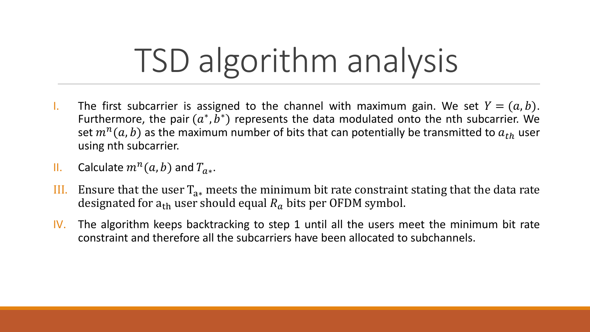# TSD algorithm analysis

- I. The first subcarrier is assigned to the channel with maximum gain. We set  $Y = (a, b)$ . Furthermore, the pair  $(a^*, b^*)$  represents the data modulated onto the nth subcarrier. We set  $m^n(a, b)$  as the maximum number of bits that can potentially be transmitted to  $a_{th}$  user using nth subcarrier.
- II. Calculate  $m^n(a, b)$  and  $T_{a*}$ .
- III. Ensure that the user  $T_{a*}$  meets the minimum bit rate constraint stating that the data rate designated for  $a_{th}$  user should equal  $R_a$  bits per OFDM symbol.
- IV. The algorithm keeps backtracking to step 1 until all the users meet the minimum bit rate constraint and therefore all the subcarriers have been allocated to subchannels.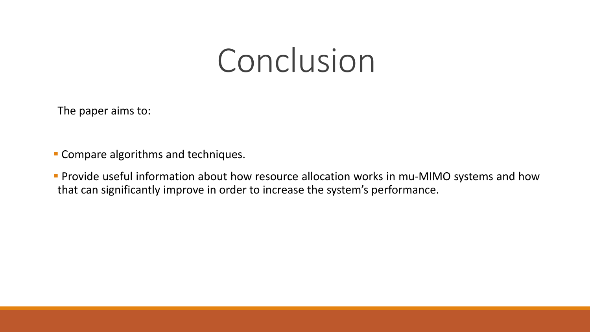#### Conclusion

The paper aims to:

- **EX Compare algorithms and techniques.**
- **Provide useful information about how resource allocation works in mu-MIMO systems and how** that can significantly improve in order to increase the system's performance.